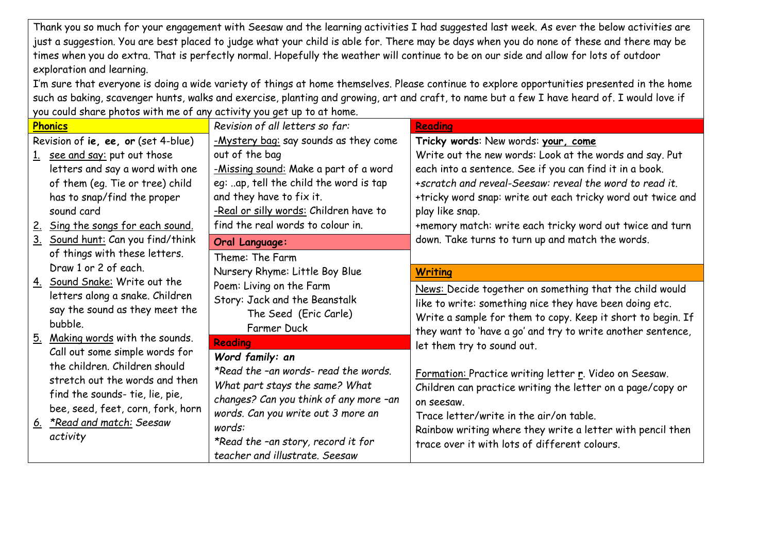Thank you so much for your engagement with Seesaw and the learning activities I had suggested last week. As ever the below activities are just a suggestion. You are best placed to judge what your child is able for. There may be days when you do none of these and there may be times when you do extra. That is perfectly normal. Hopefully the weather will continue to be on our side and allow for lots of outdoor exploration and learning.

I'm sure that everyone is doing a wide variety of things at home themselves. Please continue to explore opportunities presented in the home such as baking, scavenger hunts, walks and exercise, planting and growing, art and craft, to name but a few I have heard of. I would love if you could share photos with me of any activity you get up to at home.

| <b>Phonics</b>                      |                                                                                                                                                                                                                     | Revision of all letters so far:                                                                                                                                                                                                                             | <b>Reading</b>                                                                                                                                                                                                                                                                               |
|-------------------------------------|---------------------------------------------------------------------------------------------------------------------------------------------------------------------------------------------------------------------|-------------------------------------------------------------------------------------------------------------------------------------------------------------------------------------------------------------------------------------------------------------|----------------------------------------------------------------------------------------------------------------------------------------------------------------------------------------------------------------------------------------------------------------------------------------------|
| Revision of ie, ee, or (set 4-blue) |                                                                                                                                                                                                                     | -Mystery bag: say sounds as they come                                                                                                                                                                                                                       | Tricky words: New words: your, come                                                                                                                                                                                                                                                          |
|                                     | 1. see and say: put out those                                                                                                                                                                                       | out of the bag                                                                                                                                                                                                                                              | Write out the new words: Look at the words and say. Put                                                                                                                                                                                                                                      |
|                                     | letters and say a word with one                                                                                                                                                                                     | -Missing sound: Make a part of a word                                                                                                                                                                                                                       | each into a sentence. See if you can find it in a book.                                                                                                                                                                                                                                      |
|                                     | of them (eg. Tie or tree) child                                                                                                                                                                                     | eg: ap, tell the child the word is tap                                                                                                                                                                                                                      | +scratch and reveal-Seesaw: reveal the word to read it.                                                                                                                                                                                                                                      |
|                                     | has to snap/find the proper                                                                                                                                                                                         | and they have to fix it.                                                                                                                                                                                                                                    | +tricky word snap: write out each tricky word out twice and                                                                                                                                                                                                                                  |
|                                     | sound card                                                                                                                                                                                                          | -Real or silly words: Children have to                                                                                                                                                                                                                      | play like snap.                                                                                                                                                                                                                                                                              |
|                                     | 2. Sing the songs for each sound.                                                                                                                                                                                   | find the real words to colour in.                                                                                                                                                                                                                           | +memory match: write each tricky word out twice and turn                                                                                                                                                                                                                                     |
|                                     | 3. Sound hunt: Can you find/think                                                                                                                                                                                   | Oral Language:                                                                                                                                                                                                                                              | down. Take turns to turn up and match the words.                                                                                                                                                                                                                                             |
|                                     | of things with these letters.                                                                                                                                                                                       | Theme: The Farm                                                                                                                                                                                                                                             |                                                                                                                                                                                                                                                                                              |
|                                     | Draw 1 or 2 of each.                                                                                                                                                                                                | Nursery Rhyme: Little Boy Blue                                                                                                                                                                                                                              | <b>Writing</b>                                                                                                                                                                                                                                                                               |
|                                     | 4. Sound Snake: Write out the<br>letters along a snake. Children<br>say the sound as they meet the<br>bubble.                                                                                                       | Poem: Living on the Farm<br>Story: Jack and the Beanstalk<br>The Seed (Eric Carle)<br>Farmer Duck                                                                                                                                                           | News: Decide together on something that the child would<br>like to write: something nice they have been doing etc.<br>Write a sample for them to copy. Keep it short to begin. If<br>they want to 'have a go' and try to write another sentence,                                             |
|                                     | 5. Making words with the sounds.                                                                                                                                                                                    | <b>Reading</b>                                                                                                                                                                                                                                              | let them try to sound out.                                                                                                                                                                                                                                                                   |
|                                     | Call out some simple words for<br>the children. Children should<br>stretch out the words and then<br>find the sounds- tie, lie, pie,<br>bee, seed, feet, corn, fork, horn<br>6. *Read and match: Seesaw<br>activity | Word family: an<br>*Read the -an words- read the words.<br>What part stays the same? What<br>changes? Can you think of any more -an<br>words. Can you write out 3 more an<br>words:<br>*Read the -an story, record it for<br>teacher and illustrate. Seesaw | Formation: Practice writing letter r. Video on Seesaw.<br>Children can practice writing the letter on a page/copy or<br>on seesaw.<br>Trace letter/write in the air/on table.<br>Rainbow writing where they write a letter with pencil then<br>trace over it with lots of different colours. |